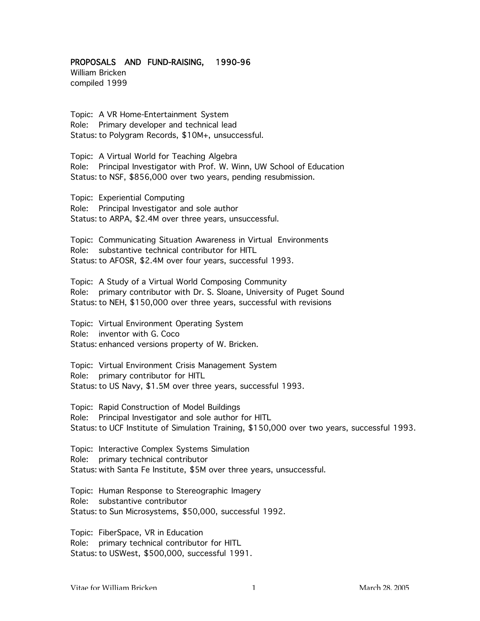## PROPOSALS AND FUND-RAISING, 1990-96

William Bricken compiled 1999

Topic: A VR Home-Entertainment System Role: Primary developer and technical lead Status: to Polygram Records, \$10M+, unsuccessful.

Topic: A Virtual World for Teaching Algebra Role: Principal Investigator with Prof. W. Winn, UW School of Education Status: to NSF, \$856,000 over two years, pending resubmission.

Topic: Experiential Computing Role: Principal Investigator and sole author Status: to ARPA, \$2.4M over three years, unsuccessful.

Topic: Communicating Situation Awareness in Virtual Environments Role: substantive technical contributor for HITL Status: to AFOSR, \$2.4M over four years, successful 1993.

Topic: A Study of a Virtual World Composing Community Role: primary contributor with Dr. S. Sloane, University of Puget Sound Status: to NEH, \$150,000 over three years, successful with revisions

Topic: Virtual Environment Operating System Role: inventor with G. Coco Status: enhanced versions property of W. Bricken.

Topic: Virtual Environment Crisis Management System Role: primary contributor for HITL Status: to US Navy, \$1.5M over three years, successful 1993.

Topic: Rapid Construction of Model Buildings Role: Principal Investigator and sole author for HITL Status: to UCF Institute of Simulation Training, \$150,000 over two years, successful 1993.

Topic: Interactive Complex Systems Simulation Role: primary technical contributor Status: with Santa Fe Institute, \$5M over three years, unsuccessful.

Topic: Human Response to Stereographic Imagery Role: substantive contributor Status: to Sun Microsystems, \$50,000, successful 1992.

Topic: FiberSpace, VR in Education Role: primary technical contributor for HITL Status: to USWest, \$500,000, successful 1991.